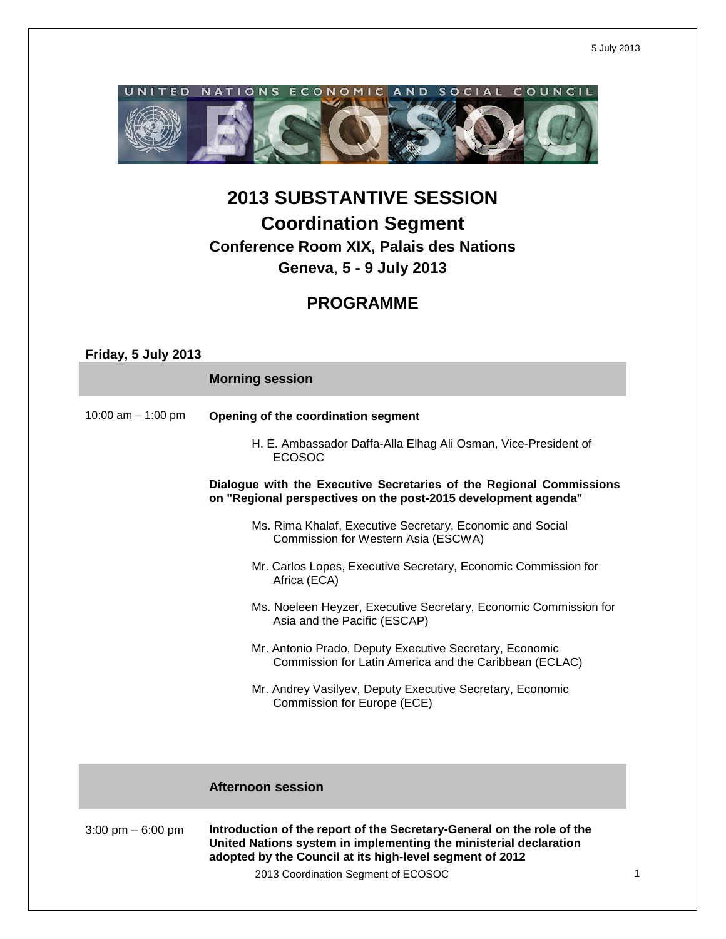5 July 2013



# **2013 SUBSTANTIVE SESSION Coordination Segment Conference Room XIX, Palais des Nations Geneva**, **5 - 9 July 2013**

## **PROGRAMME**

| Friday, 5 July 2013  |                                                                                                                                                                                                                                                |  |
|----------------------|------------------------------------------------------------------------------------------------------------------------------------------------------------------------------------------------------------------------------------------------|--|
|                      | <b>Morning session</b>                                                                                                                                                                                                                         |  |
| 10:00 am $-$ 1:00 pm | Opening of the coordination segment                                                                                                                                                                                                            |  |
|                      | H. E. Ambassador Daffa-Alla Elhag Ali Osman, Vice-President of<br><b>ECOSOC</b>                                                                                                                                                                |  |
|                      | Dialogue with the Executive Secretaries of the Regional Commissions<br>on "Regional perspectives on the post-2015 development agenda"                                                                                                          |  |
|                      | Ms. Rima Khalaf, Executive Secretary, Economic and Social<br>Commission for Western Asia (ESCWA)                                                                                                                                               |  |
|                      | Mr. Carlos Lopes, Executive Secretary, Economic Commission for<br>Africa (ECA)                                                                                                                                                                 |  |
|                      | Ms. Noeleen Heyzer, Executive Secretary, Economic Commission for<br>Asia and the Pacific (ESCAP)                                                                                                                                               |  |
|                      | Mr. Antonio Prado, Deputy Executive Secretary, Economic<br>Commission for Latin America and the Caribbean (ECLAC)                                                                                                                              |  |
|                      | Mr. Andrey Vasilyev, Deputy Executive Secretary, Economic<br>Commission for Europe (ECE)                                                                                                                                                       |  |
|                      |                                                                                                                                                                                                                                                |  |
|                      | <b>Afternoon session</b>                                                                                                                                                                                                                       |  |
| 3:00 pm $-6:00$ pm   | Introduction of the report of the Secretary-General on the role of the<br>United Nations system in implementing the ministerial declaration<br>adopted by the Council at its high-level segment of 2012<br>2013 Coordination Segment of ECOSOC |  |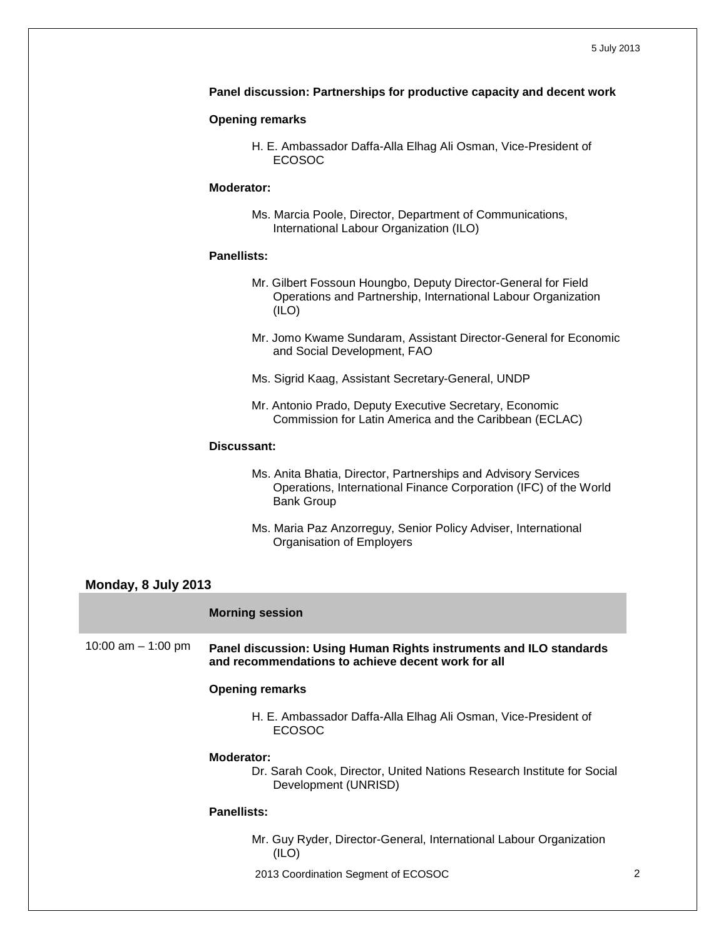#### **Panel discussion: Partnerships for productive capacity and decent work**

#### **Opening remarks**

H. E. Ambassador Daffa-Alla Elhag Ali Osman, Vice-President of ECOSOC

#### **Moderator:**

Ms. Marcia Poole, Director, Department of Communications, International Labour Organization (ILO)

#### **Panellists:**

- Mr. Gilbert Fossoun Houngbo, Deputy Director-General for Field Operations and Partnership, International Labour Organization (ILO)
- Mr. Jomo Kwame Sundaram, Assistant Director-General for Economic and Social Development, FAO
- Ms. Sigrid Kaag, Assistant Secretary-General, UNDP
- Mr. Antonio Prado, Deputy Executive Secretary, Economic Commission for Latin America and the Caribbean (ECLAC)

#### **Discussant:**

- Ms. Anita Bhatia, Director, Partnerships and Advisory Services Operations, International Finance Corporation (IFC) of the World Bank Group
- Ms. Maria Paz Anzorreguy, Senior Policy Adviser, International Organisation of Employers

#### **Monday, 8 July 2013**

#### **Morning session**

10:00 am – 1:00 pm **Panel discussion: Using Human Rights instruments and ILO standards and recommendations to achieve decent work for all**

#### **Opening remarks**

H. E. Ambassador Daffa-Alla Elhag Ali Osman, Vice-President of ECOSOC

#### **Moderator:**

Dr. Sarah Cook, Director, United Nations Research Institute for Social Development (UNRISD)

#### **Panellists:**

- Mr. Guy Ryder, Director-General, International Labour Organization (ILO)
- 2013 Coordination Segment of ECOSOC 2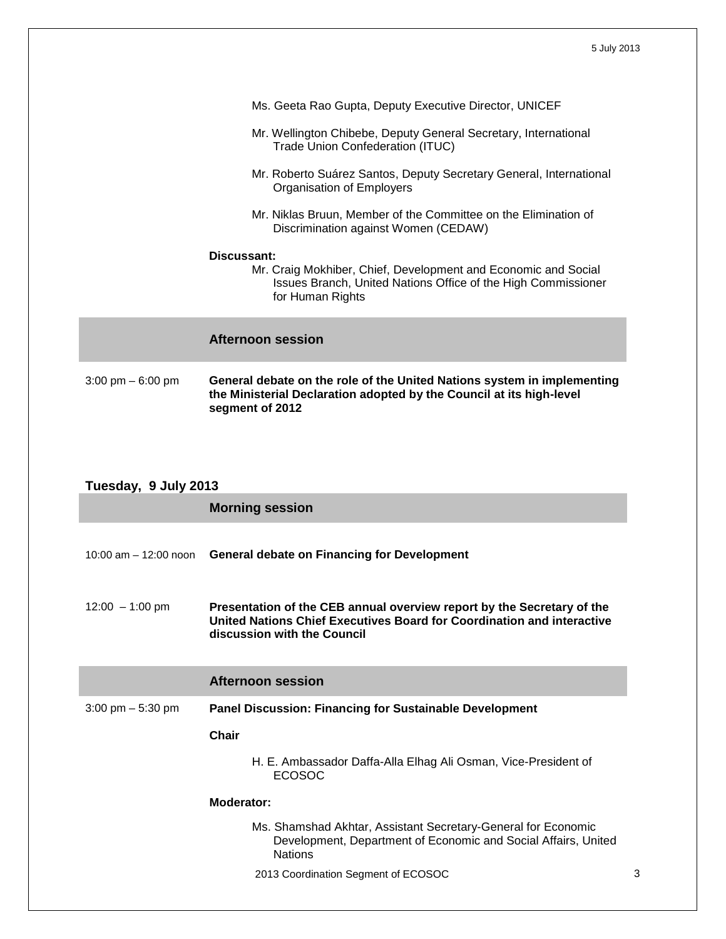|                      | Ms. Geeta Rao Gupta, Deputy Executive Director, UNICEF                                                                                                             |  |
|----------------------|--------------------------------------------------------------------------------------------------------------------------------------------------------------------|--|
|                      | Mr. Wellington Chibebe, Deputy General Secretary, International<br>Trade Union Confederation (ITUC)                                                                |  |
|                      | Mr. Roberto Suárez Santos, Deputy Secretary General, International<br>Organisation of Employers                                                                    |  |
|                      | Mr. Niklas Bruun, Member of the Committee on the Elimination of<br>Discrimination against Women (CEDAW)                                                            |  |
|                      | Discussant:                                                                                                                                                        |  |
|                      | Mr. Craig Mokhiber, Chief, Development and Economic and Social<br>Issues Branch, United Nations Office of the High Commissioner<br>for Human Rights                |  |
|                      | <b>Afternoon session</b>                                                                                                                                           |  |
| 3:00 pm $-6:00$ pm   | General debate on the role of the United Nations system in implementing<br>the Ministerial Declaration adopted by the Council at its high-level<br>segment of 2012 |  |
|                      |                                                                                                                                                                    |  |
|                      |                                                                                                                                                                    |  |
| Tuesday, 9 July 2013 |                                                                                                                                                                    |  |
|                      | Morning session                                                                                                                                                    |  |

|                                     | וייטיטטע פווווושווי                                                                                                                                                             |
|-------------------------------------|---------------------------------------------------------------------------------------------------------------------------------------------------------------------------------|
|                                     | 10:00 am - 12:00 noon General debate on Financing for Development                                                                                                               |
| $12:00 - 1:00$ pm                   | Presentation of the CEB annual overview report by the Secretary of the<br>United Nations Chief Executives Board for Coordination and interactive<br>discussion with the Council |
|                                     | <b>Afternoon session</b>                                                                                                                                                        |
| $3:00 \text{ pm} - 5:30 \text{ pm}$ | <b>Panel Discussion: Financing for Sustainable Development</b>                                                                                                                  |
|                                     | Chair                                                                                                                                                                           |
|                                     | H. E. Ambassador Daffa-Alla Elhag Ali Osman, Vice-President of<br><b>ECOSOC</b>                                                                                                 |

### **Moderator:**

- Ms. Shamshad Akhtar, Assistant Secretary-General for Economic Development, Department of Economic and Social Affairs, United **Nations**
- 2013 Coordination Segment of ECOSOC 3